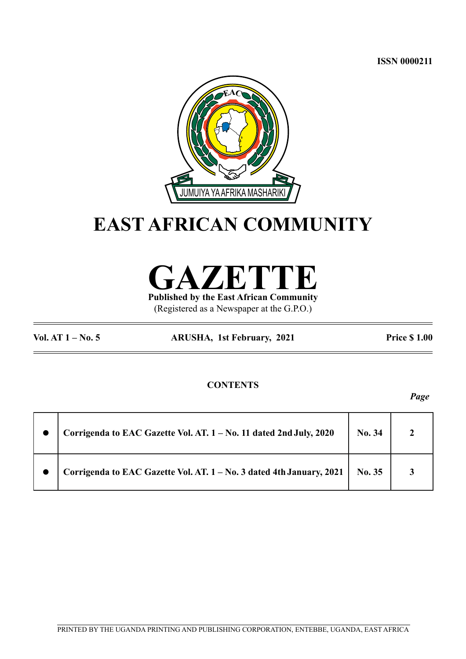**ISSN 0000211**



# **EAST AFRICAN COMMUNITY**

**GAZETTE**

**Published by the East African Community** (Registered as a Newspaper at the G.P.O.)

**Vol. AT 1 – No. 5 ARUSHA, 1st February, 2021 Price \$ 1.00**

## **CONTENTS**

*Page*

| Corrigenda to EAC Gazette Vol. AT. 1 - No. 11 dated 2nd July, 2020   | No. 34 |  |
|----------------------------------------------------------------------|--------|--|
| Corrigenda to EAC Gazette Vol. AT. 1 - No. 3 dated 4th January, 2021 | No. 35 |  |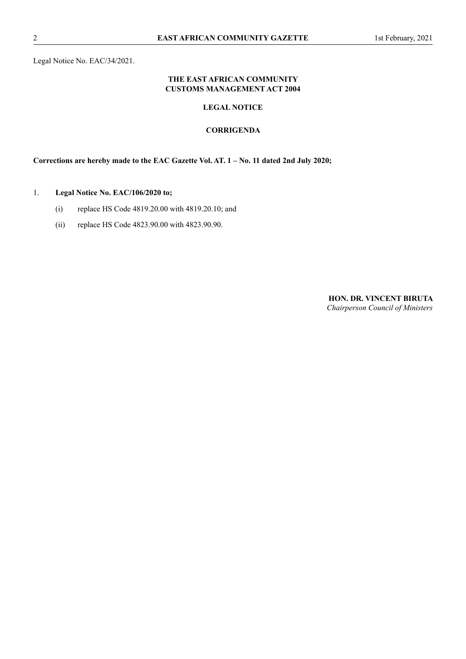Legal Notice No. EAC/34/2021.

#### **THE EAST AFRICAN COMMUNITY CUSTOMS MANAGEMENT ACT 2004**

## **LEGAL NOTICE**

#### **CORRIGENDA**

**Corrections are hereby made to the EAC Gazette Vol. AT. 1 – No. 11 dated 2nd July 2020;**

### 1. **Legal Notice No. EAC/106/2020 to;**

- (i) replace HS Code 4819.20.00 with 4819.20.10; and
- (ii) replace HS Code 4823.90.00 with 4823.90.90.

**HON. DR. VINCENT BIRUTA** *Chairperson Council of Ministers*